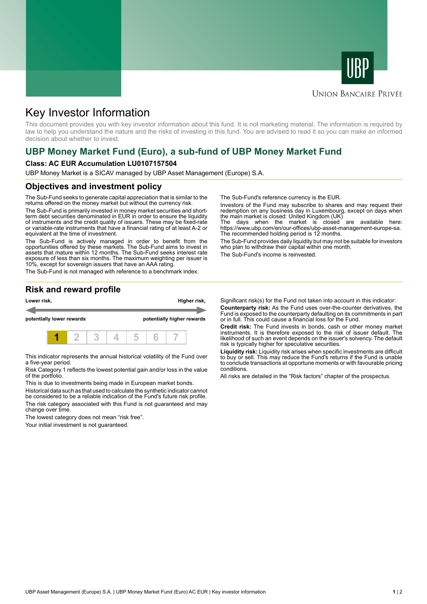



### **UNION BANCAIRE PRIVÉE**

# Key Investor Information

This document provides you with key investor information about this fund. It is not marketing material. The information is required by law to help you understand the nature and the risks of investing in this fund. You are advised to read it so you can make an informed decision about whether to invest.

## **UBP Money Market Fund (Euro), a sub-fund of UBP Money Market Fund**

#### **Class: AC EUR Accumulation LU0107157504**

UBP Money Market is a SICAV managed by UBP Asset Management (Europe) S.A.

#### **Objectives and investment policy**

The Sub-Fund seeks to generate capital appreciation that is similar to the returns offered on the money market but without the currency risk.

The Sub-Fund is primarily invested in money market securities and shortterm debt securities denominated in EUR in order to ensure the liquidity of instruments and the credit quality of issuers. These may be fixed-rate or variable-rate instruments that have a financial rating of at least A-2 or equivalent at the time of investment.

The Sub-Fund is actively managed in order to benefit from the opportunities offered by these markets. The Sub-Fund aims to invest in assets that mature within 12 months. The Sub-Fund seeks interest rate exposure of less than six months. The maximum weighting per issuer is 10%, except for sovereign issuers that have an AAA rating.

The Sub-Fund is not managed with reference to a benchmark index.

The Sub-Fund's reference currency is the EUR.

Investors of the Fund may subscribe to shares and may request their redemption on any business day in Luxembourg, except on days when the main market is closed: United Kingdom (UK)

The days when the market is closed are available here: https://www.ubp.com/en/our-offices/ubp-asset-management-europe-sa. The recommended holding period is 12 months.

The Sub-Fund provides daily liquidity but may not be suitable for investors who plan to withdraw their capital within one month.

The Sub-Fund's income is reinvested.

### **Risk and reward profile**



This indicator represents the annual historical volatility of the Fund over a five-year period.

Risk Category 1 reflects the lowest potential gain and/or loss in the value of the portfolio.

This is due to investments being made in European market bonds.

Historical data such as that used to calculate the synthetic indicator cannot be considered to be a reliable indication of the Fund's future risk profile. The risk category associated with this Fund is not guaranteed and may change over time.

The lowest category does not mean "risk free".

Your initial investment is not guaranteed.

Significant risk(s) for the Fund not taken into account in this indicator: **Counterparty risk:** As the Fund uses over-the-counter derivatives, the Fund is exposed to the counterparty defaulting on its commitments in part or in full. This could cause a financial loss for the Fund.

**Credit risk:** The Fund invests in bonds, cash or other money market instruments. It is therefore exposed to the risk of issuer default. The likelihood of such an event depends on the issuer's solvency. The default risk is typically higher for speculative securities.

**Liquidity risk:** Liquidity risk arises when specific investments are difficult to buy or sell. This may reduce the Fund's returns if the Fund is unable to conclude transactions at opportune moments or with favourable pricing conditions.

All risks are detailed in the "Risk factors" chapter of the prospectus.